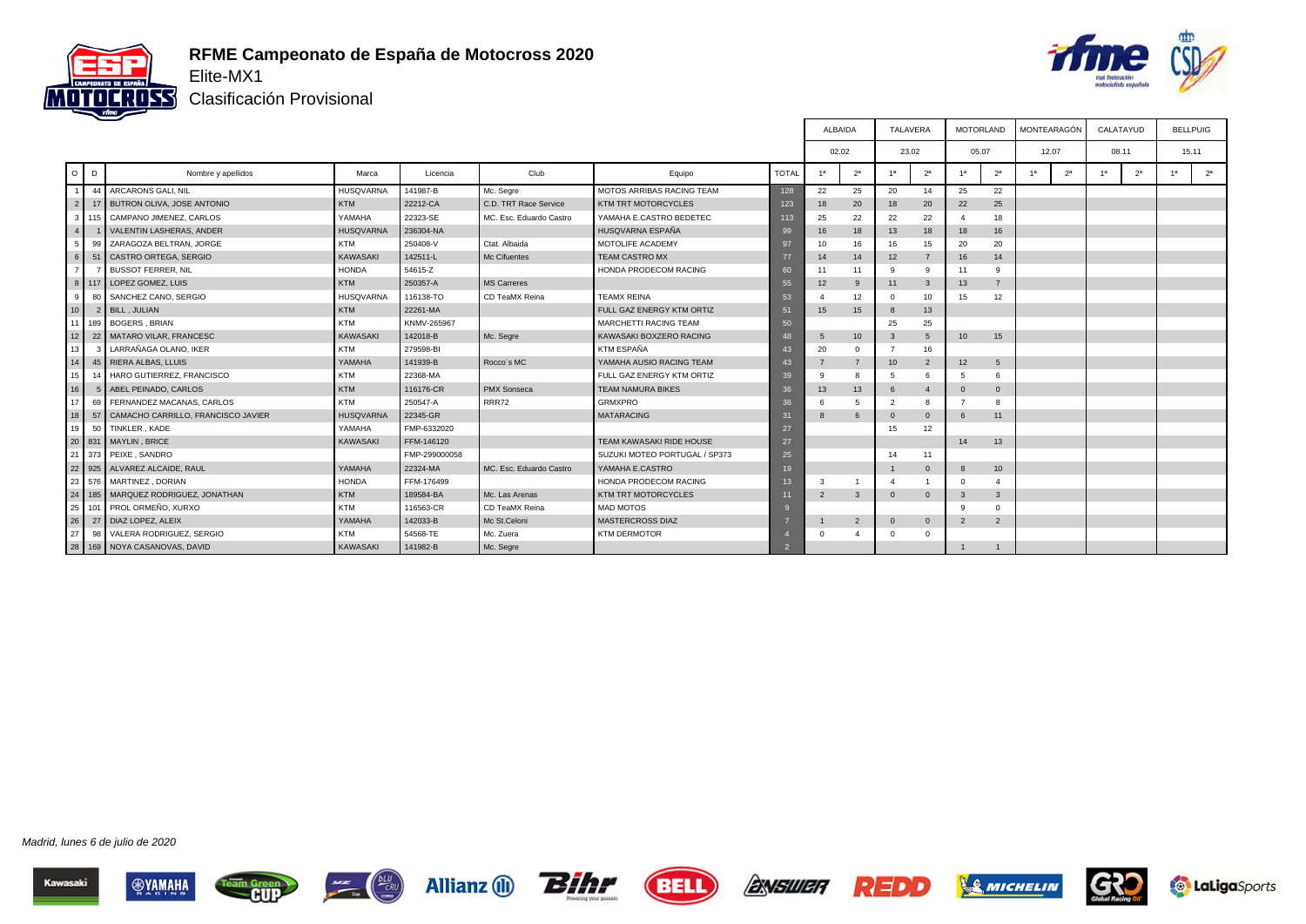

#### **RFME Campeonato de España de Motocross 2020** Elite-MX1



Clasificación Provisional

|                      |                                        |                  |               |                         |                               |              |                | <b>ALBAIDA</b>  |                | TALAVERA       |                 | <b>MOTORLAND</b> |                | MONTEARAGÓN    | CALATAYUD      |                | <b>BELLPUIG</b>                  |
|----------------------|----------------------------------------|------------------|---------------|-------------------------|-------------------------------|--------------|----------------|-----------------|----------------|----------------|-----------------|------------------|----------------|----------------|----------------|----------------|----------------------------------|
|                      |                                        |                  |               |                         |                               |              |                | 02.02           | 23.02          |                |                 | 05.07            |                | 12.07          | 08.11          |                | 15.11                            |
| $\circ$<br>D         | Nombre y apellidos                     | Marca            | Licencia      | Club                    | Equipo                        | <b>TOTAL</b> | 1 <sup>a</sup> | 2 <sup>a</sup>  | 1 <sup>a</sup> | 2 <sup>a</sup> | 1a              | 2 <sup>a</sup>   | 1 <sup>a</sup> | 2 <sup>a</sup> | 1 <sup>a</sup> | 2 <sup>a</sup> | 2 <sup>a</sup><br>1 <sup>a</sup> |
|                      | 44 ARCARONS GALI, NIL                  | <b>HUSQVARNA</b> | 141987-B      | Mc. Segre               | MOTOS ARRIBAS RACING TEAM     | 128          | 22             | 25              | 20             | 14             | 25              | 22               |                |                |                |                |                                  |
| 2 <sup>1</sup>       | 17 BUTRON OLIVA, JOSE ANTONIO          | <b>KTM</b>       | 22212-CA      | C.D. TRT Race Service   | KTM TRT MOTORCYCLES           | 123          | 18             | 20              | 18             | 20             | 22              | 25               |                |                |                |                |                                  |
| 3 <sup>1</sup>       | 115 CAMPANO JIMENEZ, CARLOS            | YAMAHA           | 22323-SE      | MC. Esc. Eduardo Castro | YAMAHA E.CASTRO BEDETEC       | 113          | 25             | 22              | 22             | 22             |                 | 18               |                |                |                |                |                                  |
| 4 <sup>1</sup>       | <b>VALENTIN LASHERAS, ANDER</b>        | <b>HUSQVARNA</b> | 236304-NA     |                         | HUSQVARNA ESPAÑA              | 99           | 16             | 18              | 13             | 18             | 18              | 16               |                |                |                |                |                                  |
| 5                    | 99 ZARAGOZA BELTRAN, JORGE             | <b>KTM</b>       | 250408-V      | Ctat. Albaida           | MOTOLIFE ACADEMY              | 97           | 10             | 16              | 16             | 15             | 20              | 20               |                |                |                |                |                                  |
| 6<br>51              | CASTRO ORTEGA, SERGIO                  | KAWASAKI         | 142511-L      | Mc Cifuentes            | <b>TEAM CASTRO MX</b>         | 77           | 14             | 14              | 12             | $\overline{7}$ | 16              | 14               |                |                |                |                |                                  |
| 7 <sup>1</sup>       | <b>BUSSOT FERRER, NIL</b>              | <b>HONDA</b>     | 54615-Z       |                         | HONDA PRODECOM RACING         | 60           | 11             | 11              | 9              | 9              | 11              | 9                |                |                |                |                |                                  |
|                      | 8 117 LOPEZ GOMEZ, LUIS                | <b>KTM</b>       | 250357-A      | <b>MS</b> Carreres      |                               | 55           | 12             | 9               | 11             | $\mathbf{3}$   | 13              | $\overline{7}$   |                |                |                |                |                                  |
| 80<br>9 <sup>1</sup> | SANCHEZ CANO, SERGIO                   | HUSQVARNA        | 116138-TO     | CD TeaMX Reina          | <b>TEAMX REINA</b>            | 53           |                | 12              | $\Omega$       | 10             | 15              | 12               |                |                |                |                |                                  |
| 10 <sup>1</sup>      | 2 BILL, JULIAN                         | <b>KTM</b>       | 22261-MA      |                         | FULL GAZ ENERGY KTM ORTIZ     | 51           | 15             | 15              | $\mathbf{8}$   | 13             |                 |                  |                |                |                |                |                                  |
| 11 <sup>1</sup>      | 189   BOGERS, BRIAN                    | <b>KTM</b>       | KNMV-265967   |                         | <b>MARCHETTI RACING TEAM</b>  | 50           |                |                 | 25             | 25             |                 |                  |                |                |                |                |                                  |
| 12                   | 22 MATARO VILAR, FRANCESC              | KAWASAKI         | 142018-B      | Mc. Segre               | KAWASAKI BOXZERO RACING       | 48           | .5             | 10 <sup>1</sup> | 3              | $\sqrt{5}$     | 10 <sup>1</sup> | 15               |                |                |                |                |                                  |
| 13                   | LARRAÑAGA OLANO. IKER                  | <b>KTM</b>       | 279598-BI     |                         | KTM ESPAÑA                    | 43           | 20             | $\Omega$        | $\overline{7}$ | 16             |                 |                  |                |                |                |                |                                  |
| 14                   | 45 RIERA ALBAS, LLUIS                  | YAMAHA           | 141939-B      | Rocco's MC              | YAMAHA AUSIO RACING TEAM      | 43           |                | $\overline{7}$  | 10             | $\overline{2}$ | 12              | 5                |                |                |                |                |                                  |
| 15                   | 14 HARO GUTIERREZ, FRANCISCO           | <b>KTM</b>       | 22368-MA      |                         | FULL GAZ ENERGY KTM ORTIZ     | 39           |                |                 | -5             | 6              | -5              | 6                |                |                |                |                |                                  |
| 16                   | 5 ABEL PEINADO, CARLOS                 | KTM              | 116176-CR     | <b>PMX</b> Sonseca      | <b>TEAM NAMURA BIKES</b>      | 36           | 13             | 13              | 6              | $\overline{4}$ | $\Omega$        | $\mathbf 0$      |                |                |                |                |                                  |
| 17 <sup>1</sup>      | 69 FERNANDEZ MACANAS, CARLOS           | <b>KTM</b>       | 250547-A      | RRR72                   | <b>GRMXPRO</b>                | 36           |                | 5               | $\overline{2}$ | $\mathbf{R}$   |                 |                  |                |                |                |                |                                  |
| l 18 l               | 57 CAMACHO CARRILLO, FRANCISCO JAVIER  | <b>HUSQVARNA</b> | 22345-GR      |                         | <b>MATARACING</b>             | 31           |                | 6               | $\Omega$       | $\Omega$       | -6              | 11               |                |                |                |                |                                  |
| 19 <sup>1</sup>      | 50 TINKLER, KADE                       | YAMAHA           | FMP-6332020   |                         |                               | 27           |                |                 | 15             | 12             |                 |                  |                |                |                |                |                                  |
|                      | 20 831 MAYLIN, BRICE                   | <b>KAWASAKI</b>  | FFM-146120    |                         | TEAM KAWASAKI RIDE HOUSE      | 27           |                |                 |                |                | 14              | 13               |                |                |                |                |                                  |
|                      | 21 373 PEIXE . SANDRO                  |                  | FMP-299000058 |                         | SUZUKI MOTEO PORTUGAL / SP373 | 25           |                |                 | 14             | 11             |                 |                  |                |                |                |                |                                  |
|                      | 22 925 ALVAREZ ALCAIDE, RAUL           | YAMAHA           | 22324-MA      | MC. Esc. Eduardo Castro | YAMAHA E.CASTRO               | 19           |                |                 | $\overline{1}$ | $\mathbf{0}$   | -8              | 10 <sup>10</sup> |                |                |                |                |                                  |
|                      | 23 576 MARTINEZ DORIAN                 | <b>HONDA</b>     | FFM-176499    |                         | HONDA PRODECOM RACING         | 13           | Э              |                 |                |                |                 |                  |                |                |                |                |                                  |
|                      | 24   185   MARQUEZ RODRIGUEZ, JONATHAN | <b>KTM</b>       | 189584-BA     | Mc. Las Arenas          | KTM TRT MOTORCYCLES           | 11           | $\overline{2}$ | 3               | $\Omega$       | $\overline{0}$ | $\mathbf{3}$    | $\mathbf{3}$     |                |                |                |                |                                  |
| 25                   | 101 PROL ORMEÑO, XURXO                 | <b>KTM</b>       | 116563-CR     | CD TeaMX Reina          | <b>MAD MOTOS</b>              |              |                |                 |                |                | $\alpha$        | $\Omega$         |                |                |                |                |                                  |
| 26                   | 27   DIAZ LOPEZ, ALEIX                 | YAMAHA           | 142033-B      | Mc St.Celoni            | <b>MASTERCROSS DIAZ</b>       |              |                | $\overline{2}$  | $\mathbf{0}$   | $\overline{0}$ | 2               | $\overline{2}$   |                |                |                |                |                                  |
| 127                  | 98 VALERA RODRIGUEZ, SERGIO            | <b>KTM</b>       | 54568-TE      | Mc. Zuera               | <b>KTM DERMOTOR</b>           |              | $\Omega$       |                 | $\Omega$       | $\Omega$       |                 |                  |                |                |                |                |                                  |
|                      | 28   169   NOYA CASANOVAS, DAVID       | <b>KAWASAKI</b>  | 141982-B      | Mc. Segre               |                               |              |                |                 |                |                |                 |                  |                |                |                |                |                                  |

Madrid, lunes 6 de julio de 2020





 $rac{bLU}{cRU}$ 









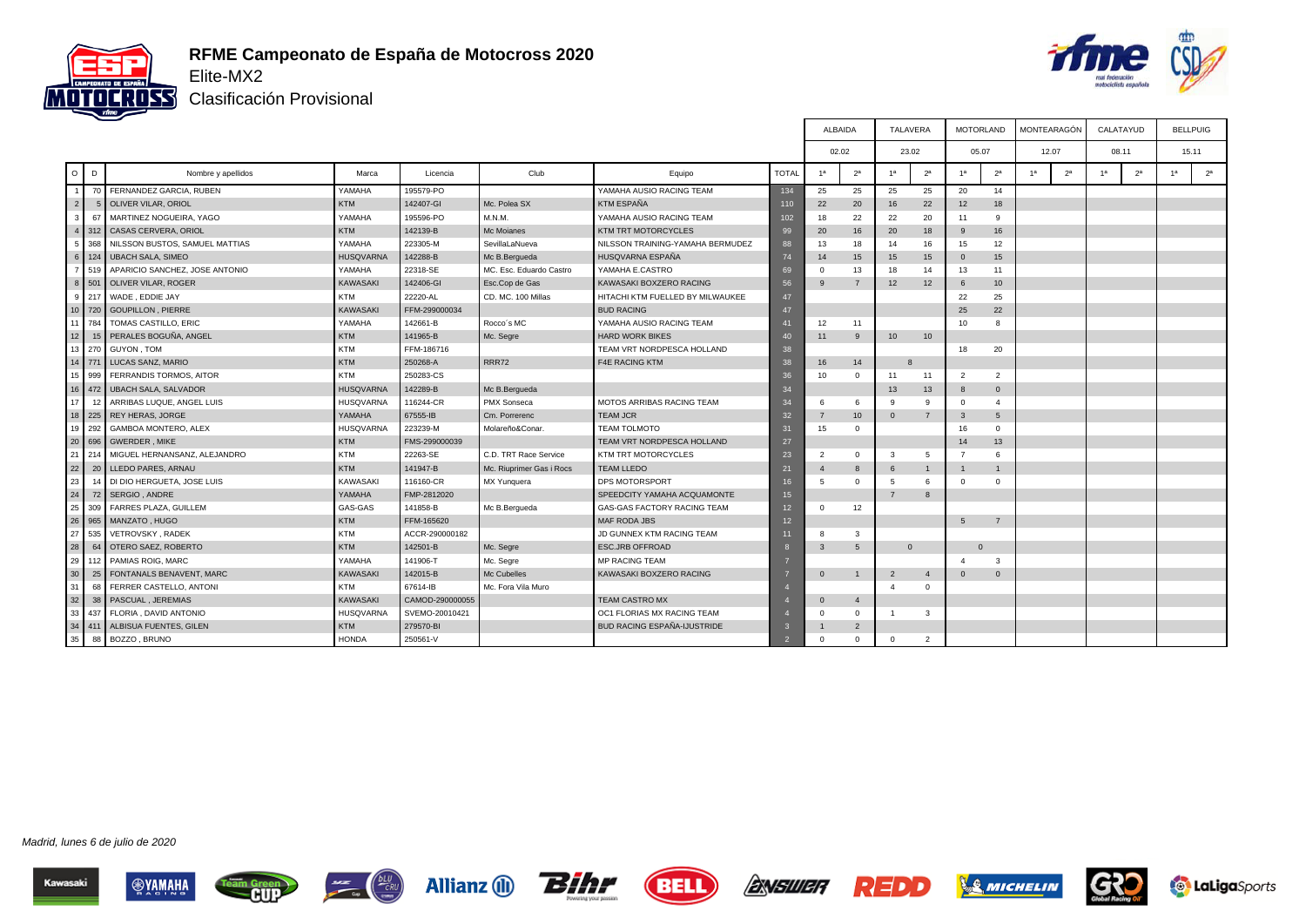

#### **RFME Campeonato de España de Motocross 2020** Elite-MX2



Clasificación Provisional

|                 |                                       |                  |                 |                          |                                  |              | ALBAIDA        |                | TALAVERA       |                 |                       | <b>MOTORLAND</b> | MONTEARAGÓN    |                |                | CALATAYUD      | <b>BELLPUIG</b> |                |
|-----------------|---------------------------------------|------------------|-----------------|--------------------------|----------------------------------|--------------|----------------|----------------|----------------|-----------------|-----------------------|------------------|----------------|----------------|----------------|----------------|-----------------|----------------|
|                 |                                       |                  |                 |                          |                                  |              | 02.02          |                |                | 23.02           |                       | 05.07            |                | 12.07          |                | 08.11          | 15.11           |                |
| $\circ$         | D<br>Nombre y apellidos               | Marca            | Licencia        | Club                     | Equipo                           | <b>TOTAL</b> | 1 <sup>a</sup> | 2 <sup>a</sup> | 1 <sup>a</sup> | 2 <sup>a</sup>  | 1a                    | 2 <sup>a</sup>   | 1 <sup>a</sup> | 2 <sup>a</sup> | 1 <sup>a</sup> | 2 <sup>a</sup> | 1 <sup>a</sup>  | 2 <sup>a</sup> |
|                 | 70 FERNANDEZ GARCIA, RUBEN            | YAMAHA           | 195579-PO       |                          | YAMAHA AUSIO RACING TEAM         | 134          | 25             | 25             | 25             | 25              | 20                    | 14               |                |                |                |                |                 |                |
| 2 <sup>1</sup>  | OLIVER VILAR, ORIOL                   | <b>KTM</b>       | 142407-GI       | Mc. Polea SX             | <b>KTM ESPAÑA</b>                | 110          | 22             | 20             | 16             | 22              | 12                    | 18               |                |                |                |                |                 |                |
| 3               | 67<br>MARTINEZ NOGUEIRA, YAGO         | YAMAHA           | 195596-PO       | M.N.M.                   | YAMAHA AUSIO RACING TEAM         | 102          | 18             | 22             | 22             | 20              | 11                    | $\mathbf{Q}$     |                |                |                |                |                 |                |
| 4 <sup>1</sup>  | 312<br>CASAS CERVERA, ORIOL           | <b>KTM</b>       | 142139-B        | Mc Moianes               | KTM TRT MOTORCYCLES              | 99           | 20             | 16             | 20             | 18              | $\mathbf{q}$          | 16               |                |                |                |                |                 |                |
| 5 <sub>1</sub>  | 368<br>NILSSON BUSTOS, SAMUEL MATTIAS | YAMAHA           | 223305-M        | SevillaLaNueva           | NILSSON TRAINING-YAMAHA BERMUDEZ | 88           | 13             | 18             | 14             | 16              | 15                    | 12               |                |                |                |                |                 |                |
| $6 \mid 124$    | UBACH SALA, SIMEO                     | <b>HUSQVARNA</b> | 142288-B        | Mc B.Bergueda            | HUSQVARNA ESPAÑA                 | 74           | 14             | 15             | 15             | 15              | $\Omega$              | 15               |                |                |                |                |                 |                |
| 7 519           | APARICIO SANCHEZ, JOSE ANTONIO        | YAMAHA           | 22318-SE        | MC. Esc. Eduardo Castro  | YAMAHA E.CASTRO                  | 69           |                | 13             | 18             | 14              | 13                    | 11               |                |                |                |                |                 |                |
| 8               | 501<br>OLIVER VILAR, ROGER            | <b>KAWASAKI</b>  | 142406-GI       | Esc.Cop de Gas           | KAWASAKI BOXZERO RACING          | 56           | $\mathbf{q}$   | $\overline{7}$ | 12             | 12              | -6                    | 10               |                |                |                |                |                 |                |
| 9 <sup>1</sup>  | 217<br>WADE, EDDIE JAY                | <b>KTM</b>       | 22220-AL        | CD. MC. 100 Millas       | HITACHI KTM FUELLED BY MILWAUKEE | 47           |                |                |                |                 | 22                    | 25               |                |                |                |                |                 |                |
| $10$ 720        | <b>GOUPILLON, PIERRE</b>              | <b>KAWASAKI</b>  | FFM-299000034   |                          | <b>BUD RACING</b>                | 47           |                |                |                |                 | 25                    | 22               |                |                |                |                |                 |                |
| 11 <sup>1</sup> | 784<br>TOMAS CASTILLO, ERIC           | YAMAHA           | 142661-B        | Rocco's MC               | YAMAHA AUSIO RACING TEAM         | 41           | 12             | 11             |                |                 | 10                    | 8                |                |                |                |                |                 |                |
| 12              | 15 PERALES BOGUÑA, ANGEL              | <b>KTM</b>       | 141965-B        | Mc. Segre                | <b>HARD WORK BIKES</b>           | 40           | 11             | 9              | 10             | 10 <sup>°</sup> |                       |                  |                |                |                |                |                 |                |
|                 | 13 270 GUYON, TOM                     | <b>KTM</b>       | FFM-186716      |                          | TEAM VRT NORDPESCA HOLLAND       | 38           |                |                |                |                 | 18                    | 20               |                |                |                |                |                 |                |
| 14 771          | LUCAS SANZ, MARIO                     | <b>KTM</b>       | 250268-A        | RRR72                    | <b>F4E RACING KTM</b>            | 38           | 16             | 14             |                |                 |                       |                  |                |                |                |                |                 |                |
| 15 <sup>1</sup> | FERRANDIS TORMOS, AITOR<br>999        | <b>KTM</b>       | 250283-CS       |                          |                                  | 36           | 10             | $\Omega$       | 11             | 11              | $\overline{2}$        | 2                |                |                |                |                |                 |                |
| $16$ 472        | UBACH SALA, SALVADOR                  | <b>HUSQVARNA</b> | 142289-B        | Mc B.Bergueda            |                                  | 34           |                |                | 13             | 13              |                       | $\mathbf{0}$     |                |                |                |                |                 |                |
| 17 <sup>1</sup> | 12<br>ARRIBAS LUQUE, ANGEL LUIS       | <b>HUSQVARNA</b> | 116244-CR       | PMX Sonseca              | <b>MOTOS ARRIBAS RACING TEAM</b> | 34           | 6              | 6              | 9              | <b>q</b>        | $\Omega$              | $\mathbf{4}$     |                |                |                |                |                 |                |
|                 | 18 225 REY HERAS, JORGE               | YAMAHA           | 67555-IB        | Cm. Porrerenc            | <b>TEAM JCR</b>                  | 32           |                | 10             | $\Omega$       | $\overline{7}$  | $\mathbf{3}$          | 5                |                |                |                |                |                 |                |
| 19              | 292<br>GAMBOA MONTERO, ALEX           | <b>HUSQVARNA</b> | 223239-M        | Molareño&Conar           | <b>TEAM TOLMOTO</b>              | 31           | 15             | $\Omega$       |                |                 | 16                    | $\Omega$         |                |                |                |                |                 |                |
| 20              | 696<br><b>GWERDER, MIKE</b>           | <b>KTM</b>       | FMS-299000039   |                          | TEAM VRT NORDPESCA HOLLAND       | 27           |                |                |                |                 | 14                    | 13               |                |                |                |                |                 |                |
| 21              | MIGUEL HERNANSANZ, ALEJANDRO<br>214   | <b>KTM</b>       | 22263-SE        | C.D. TRT Race Service    | <b>KTM TRT MOTORCYCLES</b>       | 23           | $\overline{2}$ | $\Omega$       | 3              | 5               | $\overline{7}$        | 6                |                |                |                |                |                 |                |
| 22              | LLEDO PARES, ARNAU<br>20              | <b>KTM</b>       | 141947-B        | Mc. Riuprimer Gas i Rocs | <b>TEAM LLEDO</b>                | 21           |                | $\mathbf{8}$   | 6              | $\mathbf{1}$    |                       |                  |                |                |                |                |                 |                |
| 23              | DI DIO HERGUETA, JOSE LUIS            | <b>KAWASAKI</b>  | 116160-CR       | MX Yunquera              | DPS MOTORSPORT                   | 16           | 5              | $\Omega$       | 5              | 6               | $\Omega$              | $\Omega$         |                |                |                |                |                 |                |
| 24              | 72<br>SERGIO, ANDRE                   | YAMAHA           | FMP-2812020     |                          | SPEEDCITY YAMAHA ACQUAMONTE      | 15           |                |                | $\overline{7}$ | $\mathbf{8}$    |                       |                  |                |                |                |                |                 |                |
| 25              | 309 FARRES PLAZA, GUILLEM             | GAS-GAS          | 141858-B        | Mc B.Bergueda            | GAS-GAS FACTORY RACING TEAM      | 12           | $\Omega$       | 12             |                |                 |                       |                  |                |                |                |                |                 |                |
| 26              | 965<br>MANZATO, HUGO                  | <b>KTM</b>       | FFM-165620      |                          | <b>MAF RODA JBS</b>              | 12           |                |                |                |                 | 5                     | $\overline{7}$   |                |                |                |                |                 |                |
| 27              | 535<br>VETROVSKY, RADEK               | <b>KTM</b>       | ACCR-290000182  |                          | JD GUNNEX KTM RACING TEAM        | 11           | 8              | 3              |                |                 |                       |                  |                |                |                |                |                 |                |
| 28              | OTERO SAEZ, ROBERTO<br>64             | <b>KTM</b>       | 142501-B        | Mc. Segre                | <b>ESC.JRB OFFROAD</b>           | ĸ            | $\mathbf{3}$   | 5 <sup>5</sup> |                | $\mathbf{0}$    |                       | $\mathbf{0}$     |                |                |                |                |                 |                |
| 29              | PAMIAS ROIG, MARC<br>112              | YAMAHA           | 141906-T        | Mc. Segre                | MP RACING TEAM                   |              |                |                |                |                 | $\boldsymbol{\Delta}$ | 3                |                |                |                |                |                 |                |
| 30              | 25<br>FONTANALS BENAVENT, MARC        | <b>KAWASAKI</b>  | 142015-B        | Mc Cubelles              | KAWASAKI BOXZERO RACING          |              | $\Omega$       | $\mathbf{1}$   | $\overline{2}$ | $\overline{4}$  | $\Omega$              | $\mathbf{0}$     |                |                |                |                |                 |                |
| 31              | 68 I<br>FERRER CASTELLO, ANTONI       | <b>KTM</b>       | 67614-IB        | Mc. Fora Vila Muro       |                                  |              |                |                | $\mathbf{A}$   | $\Omega$        |                       |                  |                |                |                |                |                 |                |
| 32              | 38<br>PASCUAL, JEREMIAS               | <b>KAWASAKI</b>  | CAMOD-290000055 |                          | <b>TEAM CASTRO MX</b>            |              | $\Omega$       | $\overline{4}$ |                |                 |                       |                  |                |                |                |                |                 |                |
| 33              | 437<br>FLORIA, DAVID ANTONIO          | <b>HUSQVARNA</b> | SVEMO-20010421  |                          | OC1 FLORIAS MX RACING TEAM       |              | $\Omega$       | $\Omega$       | $\mathbf{1}$   | 3               |                       |                  |                |                |                |                |                 |                |
| 34 411          | ALBISUA FUENTES, GILEN                | <b>KTM</b>       | 279570-BI       |                          | BUD RACING ESPAÑA-IJUSTRIDE      | ĸ            |                | $\overline{2}$ |                |                 |                       |                  |                |                |                |                |                 |                |
| 35              | BOZZO, BRUNO<br>88                    | <b>HONDA</b>     | 250561-V        |                          |                                  |              | $\Omega$       | $\Omega$       | $\Omega$       | $\overline{2}$  |                       |                  |                |                |                |                |                 |                |









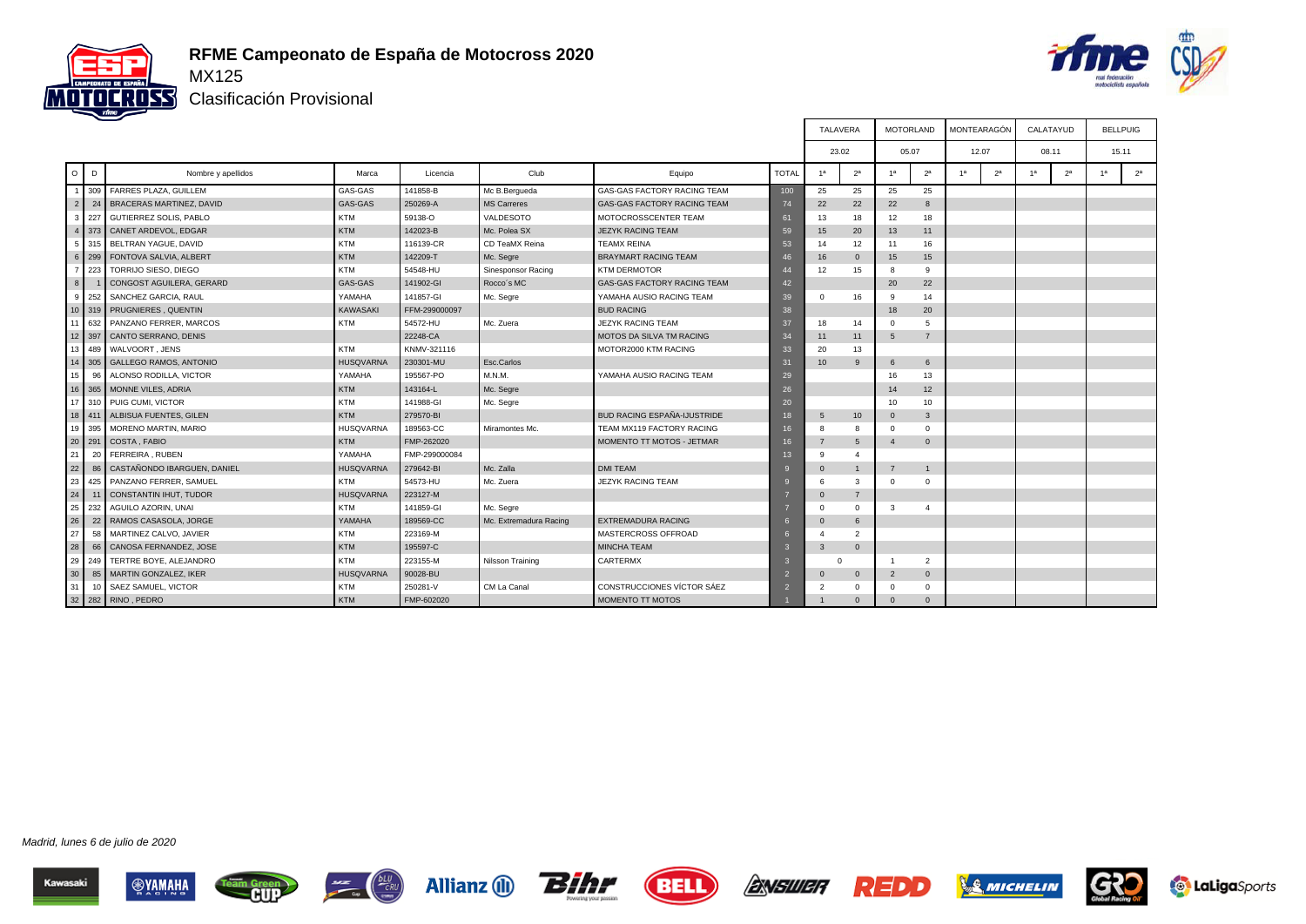

#### **RFME Campeonato de España de Motocross 2020**



Clasificación Provisional

|                       |     |                               |                  |               |                        |                                    |              | TALAVERA         |                | <b>MOTORLAND</b> |                | MONTEARAGÓN    |                | CALATAYUD      |                |                | <b>BELLPUIG</b> |
|-----------------------|-----|-------------------------------|------------------|---------------|------------------------|------------------------------------|--------------|------------------|----------------|------------------|----------------|----------------|----------------|----------------|----------------|----------------|-----------------|
|                       |     |                               |                  |               |                        |                                    |              | 23.02            |                | 05.07            |                | 12.07          |                | 08.11          |                |                | 15.11           |
| $\circ$<br>D          |     | Nombre y apellidos            | Marca            | Licencia      | Club                   | Equipo                             | <b>TOTAL</b> | 1 <sup>a</sup>   | 2 <sup>a</sup> | 1a               | 2 <sup>a</sup> | 1 <sup>a</sup> | 2 <sup>a</sup> | 1 <sup>a</sup> | 2 <sup>a</sup> | 1 <sup>a</sup> | 2 <sup>a</sup>  |
|                       |     | 309 FARRES PLAZA, GUILLEM     | GAS-GAS          | 141858-B      | Mc B.Bergueda          | <b>GAS-GAS FACTORY RACING TEAM</b> | 100          | 25               | 25             | 25               | 25             |                |                |                |                |                |                 |
| 2 <sup>1</sup>        |     | 24 BRACERAS MARTINEZ, DAVID   | GAS-GAS          | 250269-A      | <b>MS Carreres</b>     | GAS-GAS FACTORY RACING TEAM        | 74           | 22               | 22             | 22               | 8              |                |                |                |                |                |                 |
| 3 <sup>1</sup>        | 227 | <b>GUTIERREZ SOLIS, PABLO</b> | <b>KTM</b>       | 59138-O       | VALDESOTO              | MOTOCROSSCENTER TEAM               | 61           | 13               | 18             | 12               | 18             |                |                |                |                |                |                 |
| $4 \mid 373 \mid$     |     | CANET ARDEVOL, EDGAR          | <b>KTM</b>       | 142023-B      | Mc. Polea SX           | <b>JEZYK RACING TEAM</b>           | 59           | 15               | 20             | 13               | 11             |                |                |                |                |                |                 |
| 5 315                 |     | BELTRAN YAGUE, DAVID          | <b>KTM</b>       | 116139-CR     | CD TeaMX Reina         | <b>TEAMX REINA</b>                 | 53           | 14               | 12             | 11               | 16             |                |                |                |                |                |                 |
| 6 299                 |     | FONTOVA SALVIA, ALBERT        | <b>KTM</b>       | 142209-T      | Mc. Segre              | <b>BRAYMART RACING TEAM</b>        | 46           | 16               | $\mathbf 0$    | 15               | 15             |                |                |                |                |                |                 |
| 7 223                 |     | TORRIJO SIESO, DIEGO          | <b>KTM</b>       | 54548-HU      | Sinesponsor Racing     | <b>KTM DERMOTOR</b>                | 44           | 12               | 15             | 8                | $\mathbf{Q}$   |                |                |                |                |                |                 |
| 8 <sup>1</sup>        |     | CONGOST AGUILERA, GERARD      | GAS-GAS          | 141902-GI     | Rocco's MC             | GAS-GAS FACTORY RACING TEAM        | 42           |                  |                | 20               | 22             |                |                |                |                |                |                 |
| 9 <sub>1</sub><br>252 |     | SANCHEZ GARCIA, RAUL          | YAMAHA           | 141857-GI     | Mc. Segre              | YAMAHA AUSIO RACING TEAM           | 39           | $\Omega$         | 16             | -9               | 14             |                |                |                |                |                |                 |
|                       |     | 10 319 PRUGNIERES, QUENTIN    | <b>KAWASAKI</b>  | FFM-299000097 |                        | <b>BUD RACING</b>                  | 38           |                  |                | 18               | 20             |                |                |                |                |                |                 |
| 11 632                |     | PANZANO FERRER, MARCOS        | <b>KTM</b>       | 54572-HU      | Mc. Zuera              | <b>JEZYK RACING TEAM</b>           | 37           | 18               | 14             | $\Omega$         | $\overline{5}$ |                |                |                |                |                |                 |
| 12 397                |     | CANTO SERRANO, DENIS          |                  | 22248-CA      |                        | <b>MOTOS DA SILVA TM RACING</b>    | 34           | 11               | 11             | 5                | $\overline{7}$ |                |                |                |                |                |                 |
| 13 489                |     | WALVOORT, JENS                | <b>KTM</b>       | KNMV-321116   |                        | MOTOR2000 KTM RACING               | 33           | 20               | 13             |                  |                |                |                |                |                |                |                 |
|                       |     | 14 305 GALLEGO RAMOS, ANTONIO | <b>HUSQVARNA</b> | 230301-MU     | Esc.Carlos             |                                    | 31           | 10 <sup>10</sup> | 9              | 6                | 6              |                |                |                |                |                |                 |
| 15                    | 96  | ALONSO RODILLA, VICTOR        | YAMAHA           | 195567-PO     | M.N.M.                 | YAMAHA AUSIO RACING TEAM           | 29           |                  |                | 16               | 13             |                |                |                |                |                |                 |
| 16 365                |     | MONNE VILES, ADRIA            | <b>KTM</b>       | 143164-L      | Mc. Segre              |                                    | 26           |                  |                | 14               | 12             |                |                |                |                |                |                 |
|                       |     | 17 310 PUIG CUMI, VICTOR      | <b>KTM</b>       | 141988-GI     | Mc. Segre              |                                    | 20           |                  |                | 10               | 10             |                |                |                |                |                |                 |
| 18 411                |     | ALBISUA FUENTES, GILEN        | <b>KTM</b>       | 279570-BI     |                        | <b>BUD RACING ESPAÑA-IJUSTRIDE</b> | 18           | $5\overline{5}$  | 10             | $\Omega$         | 3              |                |                |                |                |                |                 |
| 19                    | 395 | MORENO MARTIN, MARIO          | <b>HUSQVARNA</b> | 189563-CC     | Miramontes Mc.         | TEAM MX119 FACTORY RACING          | 16           | 8                | 8              | $\Omega$         | $\Omega$       |                |                |                |                |                |                 |
| 20 291                |     | COSTA, FABIO                  | <b>KTM</b>       | FMP-262020    |                        | MOMENTO TT MOTOS - JETMAR          | 16           |                  | 5              | $\overline{4}$   | $\Omega$       |                |                |                |                |                |                 |
| 21                    | 20  | FERREIRA, RUBEN               | YAMAHA           | FMP-299000084 |                        |                                    | 13           | $\alpha$         | $\overline{a}$ |                  |                |                |                |                |                |                |                 |
| 22                    | 86  | CASTAÑONDO IBARGUEN, DANIEL   | <b>HUSQVARNA</b> | 279642-BI     | Mc. Zalla              | <b>DMI TEAM</b>                    |              | $\circ$          | 1              | $\overline{7}$   |                |                |                |                |                |                |                 |
| 23                    | 425 | PANZANO FERRER, SAMUEL        | <b>KTM</b>       | 54573-HU      | Mc. Zuera              | <b>JEZYK RACING TEAM</b>           |              |                  | 3              | $\overline{0}$   | $\Omega$       |                |                |                |                |                |                 |
| 24                    | 11  | CONSTANTIN IHUT, TUDOR        | <b>HUSQVARNA</b> | 223127-M      |                        |                                    |              | $\Omega$         | $\overline{7}$ |                  |                |                |                |                |                |                |                 |
| 25                    | 232 | AGUILO AZORIN, UNAI           | <b>KTM</b>       | 141859-GI     | Mc. Segre              |                                    |              | $\Omega$         | $\mathbf 0$    | 3                | $\overline{4}$ |                |                |                |                |                |                 |
| 26                    |     | 22 RAMOS CASASOLA, JORGE      | YAMAHA           | 189569-CC     | Mc. Extremadura Racing | <b>EXTREMADURA RACING</b>          |              | $\Omega$         | 6              |                  |                |                |                |                |                |                |                 |
| 27                    | 58  | MARTINEZ CALVO, JAVIER        | <b>KTM</b>       | 223169-M      |                        | MASTERCROSS OFFROAD                |              |                  | $\overline{2}$ |                  |                |                |                |                |                |                |                 |
| 28                    | 66  | CANOSA FERNANDEZ, JOSE        | <b>KTM</b>       | 195597-C      |                        | <b>MINCHA TEAM</b>                 |              | 3                | $\mathbf{0}$   |                  |                |                |                |                |                |                |                 |
| 29                    | 249 | TERTRE BOYE, ALEJANDRO        | <b>KTM</b>       | 223155-M      | Nilsson Training       | CARTERMX                           |              | $\Omega$         |                | $\overline{1}$   | 2              |                |                |                |                |                |                 |
| 30                    | 85  | MARTIN GONZALEZ, IKER         | <b>HUSQVARNA</b> | 90028-BU      |                        |                                    |              |                  | $\mathbf 0$    | $\overline{2}$   | $\mathbf{0}$   |                |                |                |                |                |                 |
| 31                    | 10  | SAEZ SAMUEL, VICTOR           | <b>KTM</b>       | 250281-V      | CM La Canal            | CONSTRUCCIONES VÍCTOR SÁEZ         |              |                  | $\Omega$       | $\Omega$         | $\Omega$       |                |                |                |                |                |                 |
|                       |     | 32 282 RINO, PEDRO            | <b>KTM</b>       | FMP-602020    |                        | MOMENTO TT MOTOS                   |              |                  | $\Omega$       | $\Omega$         | $\Omega$       |                |                |                |                |                |                 |

Madrid, lunes 6 de julio de 2020





 $rac{bLU}{cRU}$ 







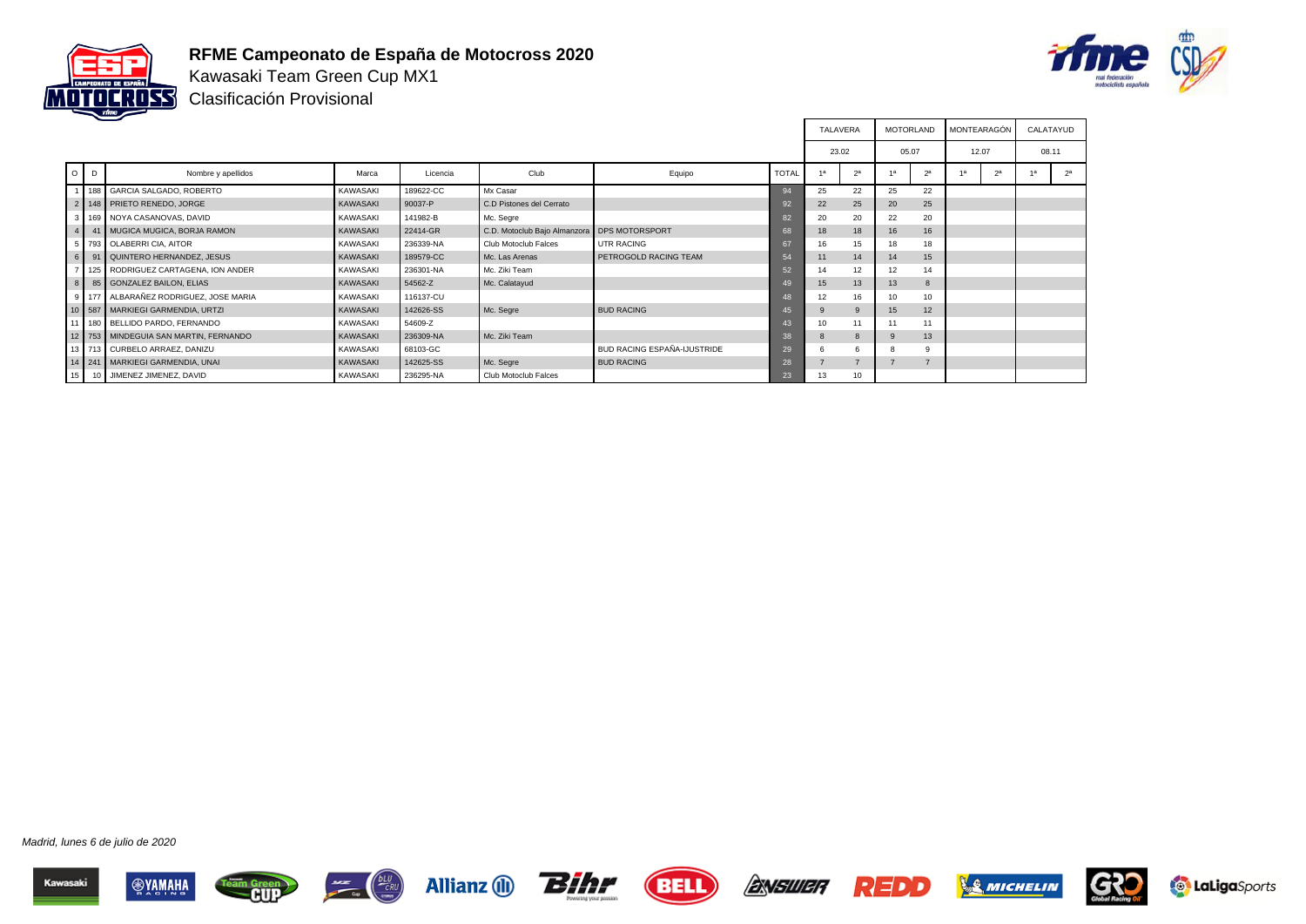

### **RFME Campeonato de España de Motocross 2020**



Kawasaki Team Green Cup MX1 Clasificación Provisional

|         |                                          |                 |           |                              |                             |              | <b>TALAVERA</b> |                | MOTORLAND |                | MONTEARAGÓN |                | CALATAYUD |                |
|---------|------------------------------------------|-----------------|-----------|------------------------------|-----------------------------|--------------|-----------------|----------------|-----------|----------------|-------------|----------------|-----------|----------------|
|         |                                          |                 |           |                              |                             |              | 23.02           |                | 05.07     |                | 12.07       |                | 08.11     |                |
| $O$ $D$ | Nombre y apellidos                       | Marca           | Licencia  | Club                         | Equipo                      | <b>TOTAL</b> | 1a              | 2 <sup>a</sup> |           | 2 <sup>a</sup> |             | 2 <sup>a</sup> |           | 2 <sup>a</sup> |
|         | 1 188 GARCIA SALGADO, ROBERTO            | <b>KAWASAKI</b> | 189622-CC | Mx Casar                     |                             | 94           | 25              | 22             | 25        | 22             |             |                |           |                |
|         | 2   148   PRIETO RENEDO, JORGE           | KAWASAKI        | 90037-P   | C.D Pistones del Cerrato     |                             | 92           | 22              | 25             | 20        | 25             |             |                |           |                |
|         | 3   169   NOYA CASANOVAS, DAVID          | <b>KAWASAKI</b> | 141982-B  | Mc. Segre                    |                             | 82           | 20              | 20             | 22        | 20             |             |                |           |                |
|         | 4 41 MUGICA MUGICA, BORJA RAMON          | <b>KAWASAKI</b> | 22414-GR  | C.D. Motoclub Bajo Almanzora | DPS MOTORSPORT              | 68           | 18              | 18             | 16        | 16             |             |                |           |                |
|         | 5 793 OLABERRI CIA, AITOR                | <b>KAWASAKI</b> | 236339-NA | Club Motoclub Falces         | UTR RACING                  | 67           | 16              | 15             | 18        | 18             |             |                |           |                |
|         | 6 91 QUINTERO HERNANDEZ, JESUS           | <b>KAWASAKI</b> | 189579-CC | Mc. Las Arenas               | PETROGOLD RACING TEAM       | 54           | 11              | 14             | 14        | 15             |             |                |           |                |
|         | 7   125   RODRIGUEZ CARTAGENA, ION ANDER | <b>KAWASAKI</b> | 236301-NA | Mc. Ziki Team                |                             | 52           | 14              | 12             | 12        | 14             |             |                |           |                |
|         | 8 85 GONZALEZ BAILON, ELIAS              | KAWASAKI        | 54562-Z   | Mc. Calatayud                |                             | 49           | 15              | 13             | 13        | 8              |             |                |           |                |
|         | 9 177 ALBARAÑEZ RODRIGUEZ. JOSE MARIA    | <b>KAWASAKI</b> | 116137-CU |                              |                             | 48           | 12              | 16             | 10        | 10             |             |                |           |                |
|         | 10 587 MARKIEGI GARMENDIA, URTZI         | KAWASAKI        | 142626-SS | Mc. Segre                    | <b>BUD RACING</b>           | 45           | 9               | 9              | 15        | 12             |             |                |           |                |
|         | 11   180   BELLIDO PARDO, FERNANDO       | <b>KAWASAKI</b> | 54609-Z   |                              |                             | 43           | 10              | 11             | 11        | 11             |             |                |           |                |
|         | 12 753 MINDEGUIA SAN MARTIN, FERNANDO    | <b>KAWASAKI</b> | 236309-NA | Mc. Ziki Team                |                             | 38           | 8               | $\mathbf{8}$   | $\alpha$  | 13             |             |                |           |                |
|         | 13 713 CURBELO ARRAEZ, DANIZU            | <b>KAWASAKI</b> | 68103-GC  |                              | BUD RACING ESPAÑA-IJUSTRIDE | 29           | 6               | 6              |           | 9              |             |                |           |                |
|         | 14   241   MARKIEGI GARMENDIA, UNAI      | KAWASAKI        | 142625-SS | Mc. Segre                    | <b>BUD RACING</b>           | 28           |                 |                |           |                |             |                |           |                |
|         | 15 10 JIMENEZ JIMENEZ, DAVID             | KAWASAKI        | 236295-NA | Club Motoclub Falces         |                             | 23           | 13              | 10             |           |                |             |                |           |                |















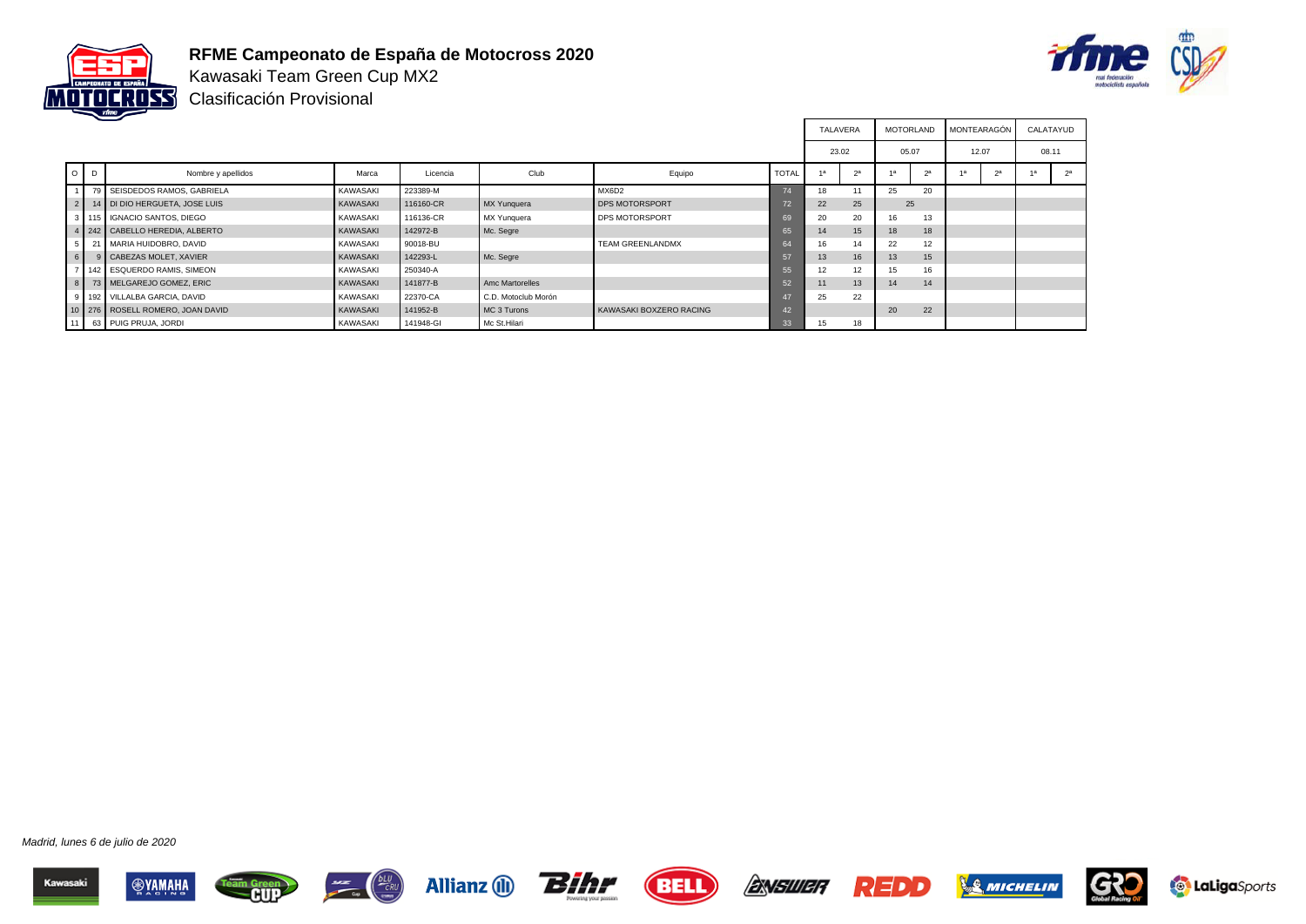

## **RFME Campeonato de España de Motocross 2020**



Kawasaki Team Green Cup MX2 Clasificación Provisional

|                 |                                      |                 |           |                     |                         |              | <b>TALAVERA</b> |    | <b>MOTORLAND</b> |    | MONTEARAGÓN |    | CALATAYUD |                |
|-----------------|--------------------------------------|-----------------|-----------|---------------------|-------------------------|--------------|-----------------|----|------------------|----|-------------|----|-----------|----------------|
|                 |                                      |                 |           |                     |                         |              | 23.02           |    | 05.07            |    | 12.07       |    | 08.11     |                |
| $O$ $D$         | Nombre y apellidos                   | Marca           | Licencia  | Club                | Equipo                  | <b>TOTAL</b> | $\overline{A}$  |    |                  | 2a |             | 2a |           | 2 <sup>a</sup> |
|                 | 79 SEISDEDOS RAMOS, GABRIELA         | <b>KAWASAKI</b> | 223389-M  |                     | MX6D2                   |              | 18              | 11 | 25               | 20 |             |    |           |                |
|                 | 2   14   DI DIO HERGUETA, JOSE LUIS  | KAWASAKI        | 116160-CR | MX Yunguera         | DPS MOTORSPORT          |              | 22              | 25 | 25               |    |             |    |           |                |
|                 | 3 115 GNACIO SANTOS, DIEGO           | <b>KAWASAKI</b> | 116136-CR | MX Yunquera         | <b>DPS MOTORSPORT</b>   |              | 20              | 20 | 16               | 13 |             |    |           |                |
|                 | 4 242 CABELLO HEREDIA, ALBERTO       | <b>KAWASAKI</b> | 142972-B  | Mc. Segre           |                         | 65           | 14              | 15 | 18               | 18 |             |    |           |                |
|                 | 21 MARIA HUIDOBRO, DAVID             | <b>KAWASAKI</b> | 90018-BU  |                     | <b>TEAM GREENLANDMX</b> | 64           | 16              | 14 | 22               | 12 |             |    |           |                |
| $6 \mid$        | 9 CABEZAS MOLET, XAVIER              | <b>KAWASAKI</b> | 142293-L  | Mc. Segre           |                         | $-57$        | 13              | 16 | 13               | 15 |             |    |           |                |
|                 | 7   142   ESQUERDO RAMIS, SIMEON     | <b>KAWASAKI</b> | 250340-A  |                     |                         | 55           | 12              | 12 | 15               | 16 |             |    |           |                |
|                 | 8 73 MELGAREJO GOMEZ, ERIC           | KAWASAKI        | 141877-B  | Amc Martorelles     |                         | 52           | 11              | 13 | 14               | 14 |             |    |           |                |
|                 | 9 192 VILLALBA GARCIA, DAVID         | KAWASAKI        | 22370-CA  | C.D. Motoclub Morón |                         |              | 25              | 22 |                  |    |             |    |           |                |
|                 | 10   276   ROSELL ROMERO, JOAN DAVID | <b>KAWASAKI</b> | 141952-B  | MC 3 Turons         | KAWASAKI BOXZERO RACING |              |                 |    | 20               | 22 |             |    |           |                |
| 11 <sup>1</sup> | 63 PUIG PRUJA, JORDI                 | <b>KAWASAKI</b> | 141948-GI | Mc St.Hilari        |                         | 33           | 15              | 18 |                  |    |             |    |           |                |

















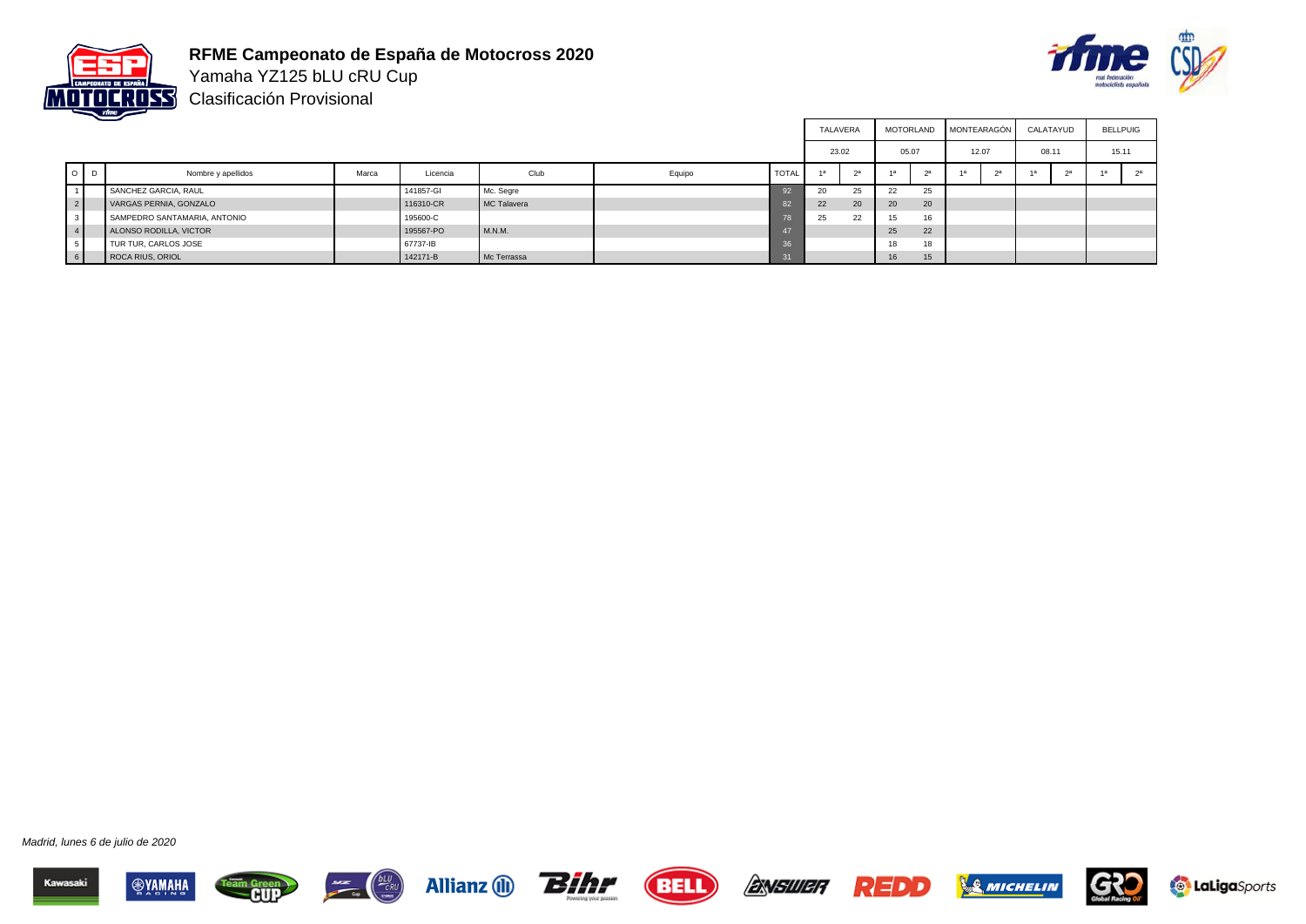

**RFME Campeonato de España de Motocross 2020** Yamaha YZ125 bLU cRU Cup



Clasificación Provisional

|                |         |                              |       |           |             |        |              | TALAVERA |    |       | MOTORLAND | <b>MONTEARAGÓN</b> |    | CALATAYUD |    | <b>BELLPUIG</b> |
|----------------|---------|------------------------------|-------|-----------|-------------|--------|--------------|----------|----|-------|-----------|--------------------|----|-----------|----|-----------------|
|                |         |                              |       |           |             |        |              | 23.02    |    | 05.07 |           | 12.07              |    | 08.11     |    | 15.11           |
|                | $O$ $D$ | Nombre y apellidos           | Marca | Licencia  | Club        | Equipo | <b>TOTAL</b> | 1a       |    | 1a    | 2a        | 1a                 | 25 |           | 2a |                 |
|                |         | SANCHEZ GARCIA, RAUL         |       | 141857-GI | Mc. Segre   |        |              | 20       | 25 | 22    | 25        |                    |    |           |    |                 |
| 2 <sup>1</sup> |         | VARGAS PERNIA, GONZALO       |       | 116310-CR | MC Talavera |        |              | 22       | 20 | 20    | 20        |                    |    |           |    |                 |
|                |         | SAMPEDRO SANTAMARIA, ANTONIO |       | 195600-C  |             |        | - 78         | 25       | 22 | 15    | 16        |                    |    |           |    |                 |
|                |         | ALONSO RODILLA, VICTOR       |       | 195567-PO | M.N.M.      |        |              |          |    | 25    | 22        |                    |    |           |    |                 |
|                |         | TUR TUR, CARLOS JOSE         |       | 67737-IB  |             |        | 36           |          |    | 18    | 18        |                    |    |           |    |                 |
| 6 I            |         | ROCA RIUS, ORIOL             |       | 142171-B  | Mc Terrassa |        |              |          |    | 16    | 15        |                    |    |           |    |                 |

















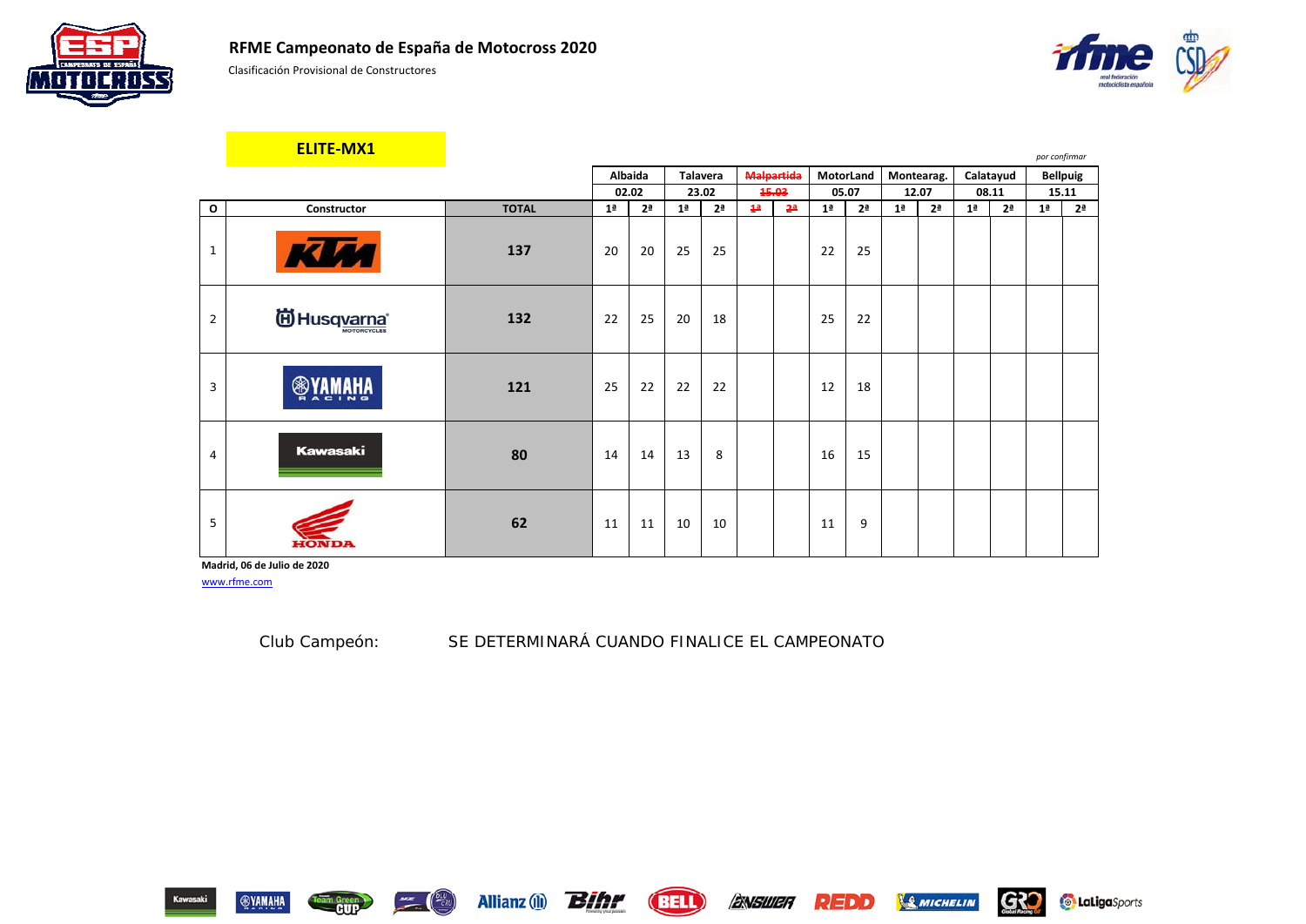





|                | <b>ELITE-MX1</b>                    |              |                |                |                 |                |                   |                |                |                |                |                |                |                | por confirmar  |                 |
|----------------|-------------------------------------|--------------|----------------|----------------|-----------------|----------------|-------------------|----------------|----------------|----------------|----------------|----------------|----------------|----------------|----------------|-----------------|
|                |                                     |              |                | <b>Albaida</b> | <b>Talavera</b> |                | <b>Malpartida</b> |                | MotorLand      |                |                | Montearag.     |                | Calatayud      |                | <b>Bellpuig</b> |
|                |                                     |              |                | 02.02          |                 | 23.02          |                   | 15.03          |                | 05.07          |                | 12.07          |                | 08.11          | 15.11          |                 |
| $\mathbf{o}$   | Constructor                         | <b>TOTAL</b> | 1 <sup>a</sup> | 2 <sup>a</sup> | 1 <sup>a</sup>  | 2 <sup>a</sup> | 1 <sup>2</sup>    | 2 <sup>a</sup> | 1 <sup>a</sup> | 2 <sup>a</sup> | 1 <sup>a</sup> | 2 <sup>a</sup> | 1 <sup>a</sup> | 2 <sup>a</sup> | 1 <sup>a</sup> | 2 <sup>a</sup>  |
| $\mathbf{1}$   | <b>KUM</b>                          | 137          | 20             | 20             | 25              | 25             |                   |                | 22             | 25             |                |                |                |                |                |                 |
| 2              | <sup>(ii)</sup> Husq <u>varna</u> * | 132          | 22             | 25             | 20              | 18             |                   |                | 25             | 22             |                |                |                |                |                |                 |
| 3              | <b>ANAHA</b><br>⊛                   | 121          | 25             | 22             | 22              | 22             |                   |                | 12             | 18             |                |                |                |                |                |                 |
| $\overline{4}$ | Kawasaki                            | 80           | 14             | 14             | 13              | 8              |                   |                | 16             | 15             |                |                |                |                |                |                 |
| 5              | еомия                               | 62           | 11             | 11             | 10              | 10             |                   |                | 11             | 9              |                |                |                |                |                |                 |

**Madrid, 06 de Julio de 2020**

www.rfme.com

Club Campeón: *SE DETERMINARÁ CUANDO FINALICE EL CAMPEONATO*



**Team Green** 



**SMICHELIN** 

REDD

G32

**Contabiga** Sports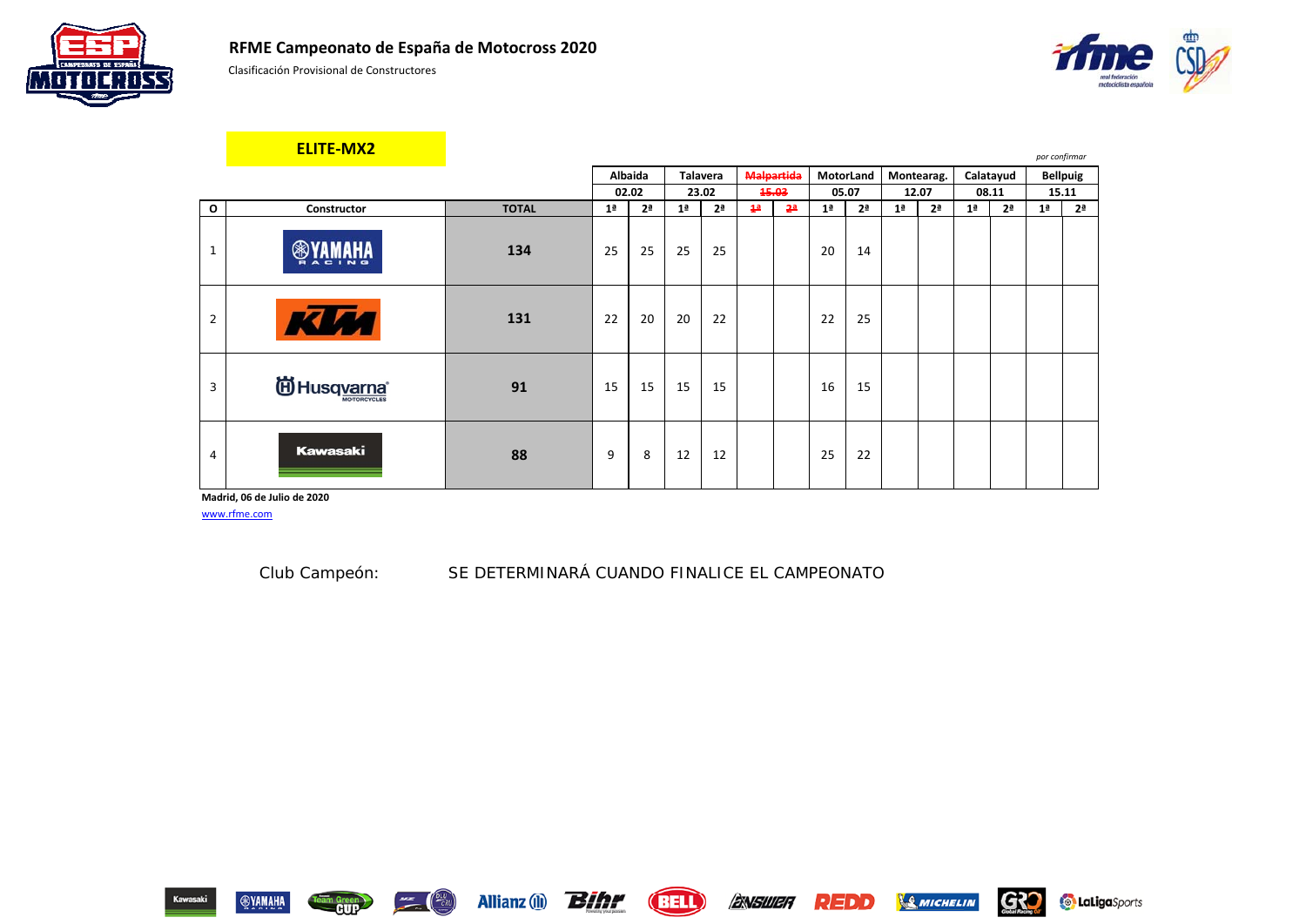





|                | <b>ELITE-MX2</b>                |              |                |                |                |                 |                |                |                |                |                |                |                |                | por confirmar  |                 |
|----------------|---------------------------------|--------------|----------------|----------------|----------------|-----------------|----------------|----------------|----------------|----------------|----------------|----------------|----------------|----------------|----------------|-----------------|
|                |                                 |              |                | <b>Albaida</b> |                | <b>Talavera</b> |                | Malpartida     | MotorLand      |                |                | Montearag.     |                | Calatayud      |                | <b>Bellpuig</b> |
|                |                                 |              |                | 02.02          |                | 23.02           |                | 15.03          |                | 05.07          |                | 12.07          |                | 08.11          |                | 15.11           |
| $\mathbf{o}$   | Constructor                     | <b>TOTAL</b> | 1 <sup>a</sup> | 2 <sup>a</sup> | 1 <sup>a</sup> | 2 <sup>a</sup>  | 4 <sup>a</sup> | 2 <sup>a</sup> | 1 <sup>a</sup> | 2 <sup>a</sup> | 1 <sup>a</sup> | 2 <sup>a</sup> | 1 <sup>a</sup> | 2 <sup>a</sup> | 1 <sup>a</sup> | 2 <sup>a</sup>  |
| 1              | <b>AWWWR</b><br>⊛               | 134          | 25             | 25             | 25             | 25              |                |                | 20             | 14             |                |                |                |                |                |                 |
| $\overline{2}$ | <b>KUM</b>                      | 131          | 22             | 20             | 20             | 22              |                |                | 22             | 25             |                |                |                |                |                |                 |
| 3              | <b>iii)</b> Husq <u>varna</u> ® | 91           | 15             | 15             | 15             | 15              |                |                | 16             | 15             |                |                |                |                |                |                 |
| 4              | <b>Kawasaki</b>                 | 88           | 9              | 8              | 12             | 12              |                |                | 25             | 22             |                |                |                |                |                |                 |

**Madrid, 06 de Julio de 2020**

www.rfme.com

eam Green

Club Campeón: *SE DETERMINARÁ CUANDO FINALICE EL CAMPEONATO*





**SMICHELIN** 

REDD

G32

**Contabiga** Sports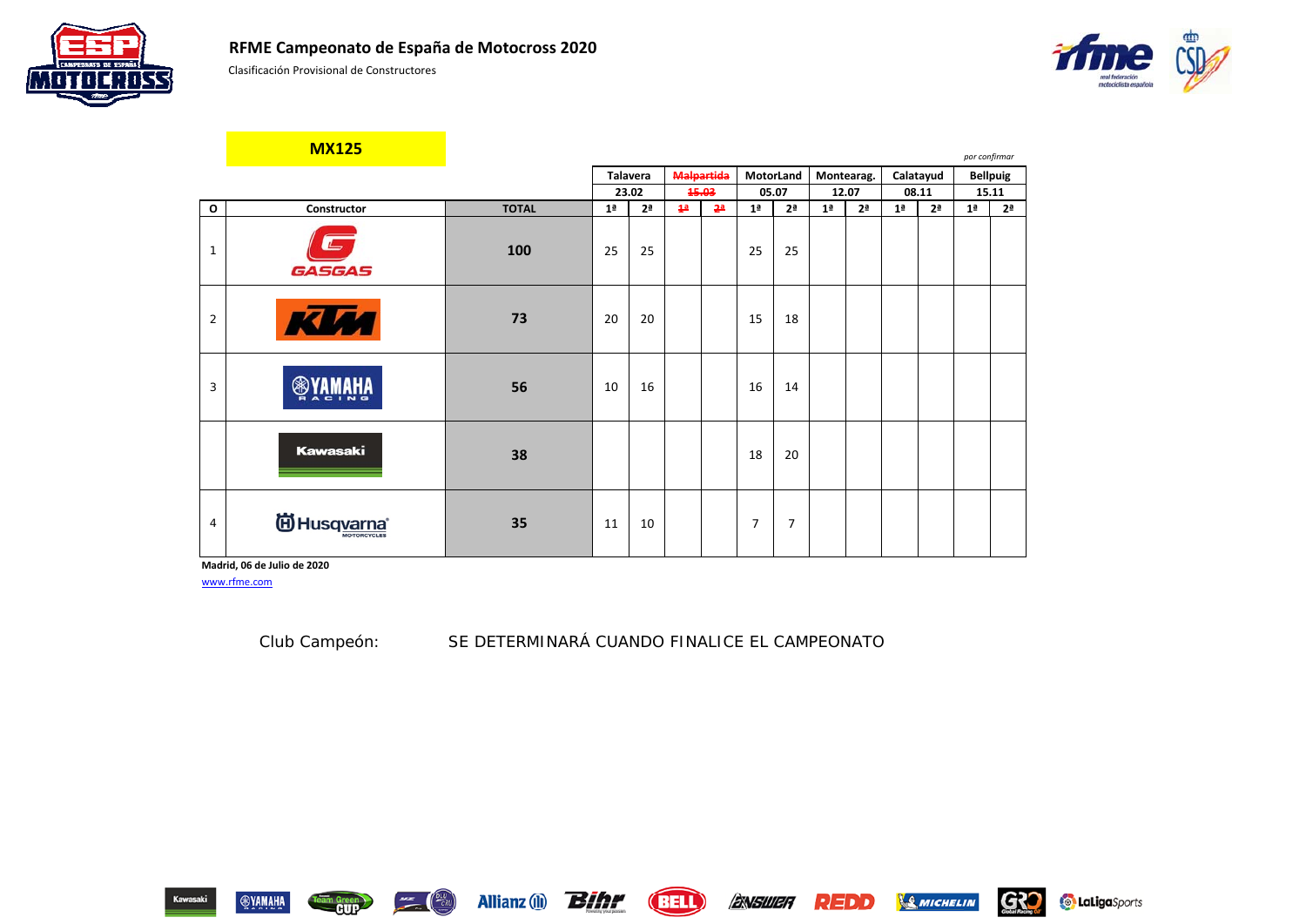





|                | <b>MX125</b>                               |              |                |                |                |                   |                |                |                |                |                |                | por confirmar  |                 |
|----------------|--------------------------------------------|--------------|----------------|----------------|----------------|-------------------|----------------|----------------|----------------|----------------|----------------|----------------|----------------|-----------------|
|                |                                            |              |                | Talavera       |                | <b>Malpartida</b> |                | MotorLand      |                | Montearag.     |                | Calatayud      |                | <b>Bellpuig</b> |
|                |                                            |              |                | 23.02          |                | 15.03             |                | 05.07          |                | 12.07          |                | 08.11          |                | 15.11           |
| $\mathbf{o}$   | Constructor                                | <b>TOTAL</b> | 1 <sup>a</sup> | 2 <sup>a</sup> | 4 <sup>a</sup> | 2 <sup>a</sup>    | 1 <sup>a</sup> | 2 <sup>a</sup> | 1 <sup>a</sup> | 2 <sup>a</sup> | 1 <sup>a</sup> | 2 <sup>a</sup> | 1 <sup>a</sup> | 2 <sup>a</sup>  |
| $\mathbf{1}$   | ┶<br>GASGAS                                | 100          | 25             | 25             |                |                   | 25             | 25             |                |                |                |                |                |                 |
| $\overline{2}$ | <b>JA1</b>                                 | 73           | 20             | 20             |                |                   | 15             | 18             |                |                |                |                |                |                 |
| 3              |                                            | 56           | 10             | 16             |                |                   | 16             | 14             |                |                |                |                |                |                 |
|                | <b>Kawasaki</b>                            | 38           |                |                |                |                   | 18             | 20             |                |                |                |                |                |                 |
| 4              | <b>id</b> Husqvarna®<br><b>MOTORCYCLES</b> | 35           | 11             | 10             |                |                   | 7              | $\overline{7}$ |                |                |                |                |                |                 |

**Madrid, 06 de Julio de 2020**

www.rfme.com

Club Campeón: *SE DETERMINARÁ CUANDO FINALICE EL CAMPEONATO*



eam Green

 $\left( \frac{\Delta E}{\partial R} \right)$ 





REDD

G32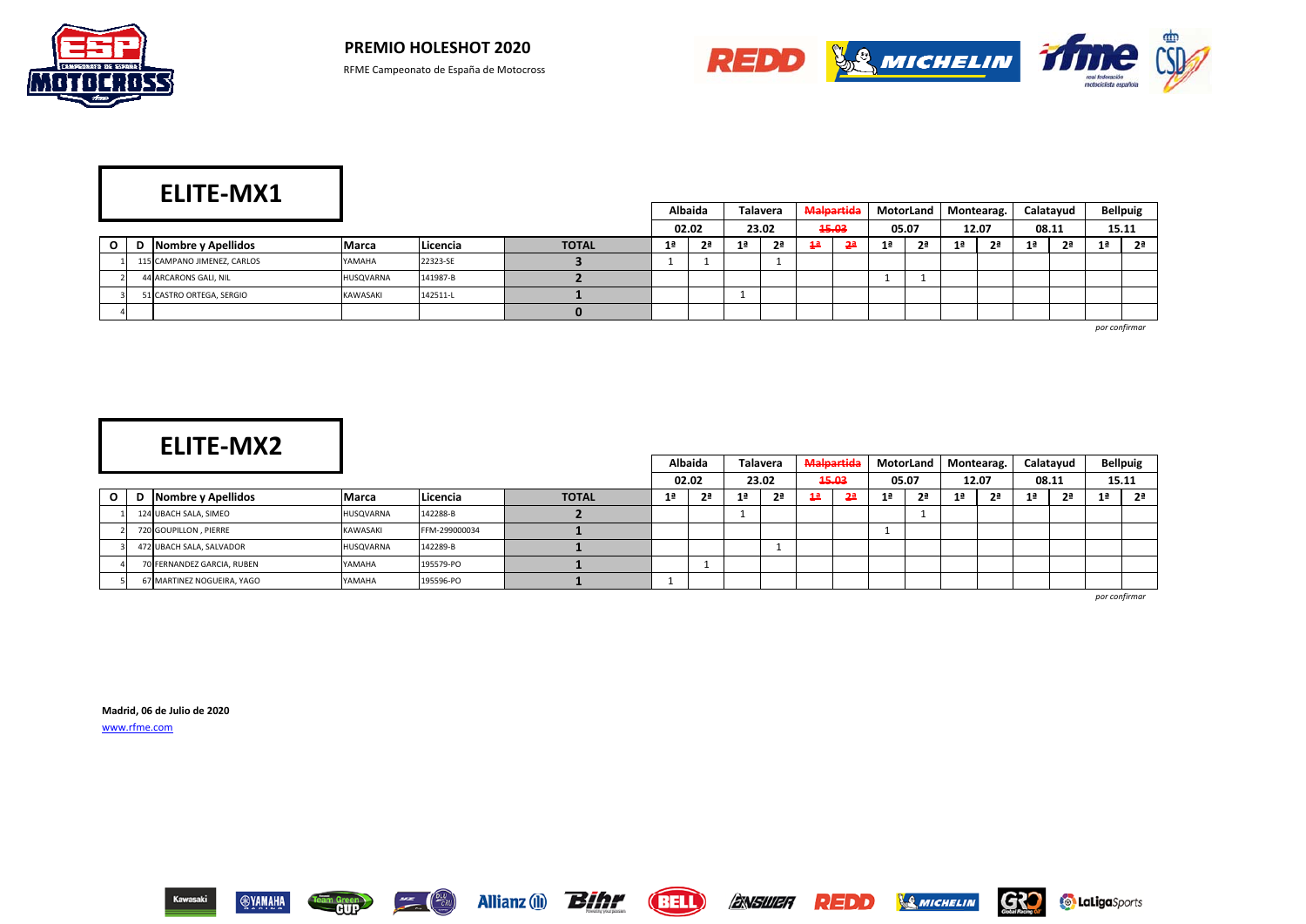



|              |   | <b>ELITE-MX1</b>            |                 |          |              |    |                |     |                |                |            |                |           |                |                |    |           |                 |
|--------------|---|-----------------------------|-----------------|----------|--------------|----|----------------|-----|----------------|----------------|------------|----------------|-----------|----------------|----------------|----|-----------|-----------------|
|              |   |                             |                 |          |              |    | <b>Albaida</b> |     | Talavera       |                | Malpartida |                | MotorLand |                | Montearag.     |    | Calatayud | <b>Bellpuig</b> |
|              |   |                             |                 |          |              |    | 02.02          |     | 23.02          |                | 15.03      |                | 05.07     |                | 12.07          |    | 08.11     | 15.11           |
| $\mathbf{o}$ | D | Nombre y Apellidos          | <b>Marca</b>    | Licencia | <b>TOTAL</b> | 1ª | 2ª             | 1 a | 2 <sup>a</sup> | 1 <sup>a</sup> |            | 1 <sup>a</sup> | <b>2ª</b> | 1 <sup>a</sup> | 2 <sup>a</sup> | 1ª | 2ª        | 2ª              |
|              |   | 115 CAMPANO JIMENEZ, CARLOS | YAMAHA          | 22323-SE |              |    |                |     |                |                |            |                |           |                |                |    |           |                 |
|              |   | 44 ARCARONS GALI, NIL       | HUSQVARNA       | 141987-B |              |    |                |     |                |                |            |                |           |                |                |    |           |                 |
|              |   | 51 CASTRO ORTEGA, SERGIO    | <b>KAWASAKI</b> | 142511-L |              |    |                |     |                |                |            |                |           |                |                |    |           |                 |
|              |   |                             |                 |          |              |    |                |     |                |                |            |                |           |                |                |    |           |                 |

*por confirmar*

|              |   |                            |                 |               |              |                | <b>Albaida</b> | <b>Talavera</b> |                | Malpartida     |           |    |                | MotorLand   Montearag. |                |       | Calatayud |                | <b>Bellpuig</b> |
|--------------|---|----------------------------|-----------------|---------------|--------------|----------------|----------------|-----------------|----------------|----------------|-----------|----|----------------|------------------------|----------------|-------|-----------|----------------|-----------------|
|              |   |                            |                 |               |              |                | 02.02          | 23.02           |                |                | 15.03     |    | 05.07          |                        | 12.07          | 08.11 |           |                | 15.11           |
| $\mathbf{o}$ | D | Nombre y Apellidos         | Marca           | Licencia      | <b>TOTAL</b> | 1 <sup>a</sup> | 2ª             |                 | 2 <sup>a</sup> | 1 <sup>a</sup> | <u>2ª</u> | 1ª | 2 <sup>a</sup> | 1ª                     | 2 <sup>a</sup> | 1ª    | <b>2ª</b> | 1 <sup>a</sup> | 2ª              |
|              |   | 124 UBACH SALA, SIMEO      | HUSQVARNA       | 142288-B      |              |                |                |                 |                |                |           |    | л.             |                        |                |       |           |                |                 |
|              |   | 720 GOUPILLON, PIERRE      | <b>KAWASAKI</b> | FFM-299000034 |              |                |                |                 |                |                |           |    |                |                        |                |       |           |                |                 |
|              |   | 472 UBACH SALA, SALVADOR   | HUSQVARNA       | 142289-B      |              |                |                |                 |                |                |           |    |                |                        |                |       |           |                |                 |
|              |   | 70 FERNANDEZ GARCIA, RUBEN | YAMAHA          | 195579-PO     |              |                |                |                 |                |                |           |    |                |                        |                |       |           |                |                 |
|              |   | 67 MARTINEZ NOGUEIRA, YAGO | YAMAHA          | 195596-PO     |              |                |                |                 |                |                |           |    |                |                        |                |       |           |                |                 |

*por confirmar*

**Contabiga** Sports

**Madrid, 06 de Julio de 2020** www.rfme.com



Team Green

ENSWER

**REDD** 

**SAMICHELIN** 

G30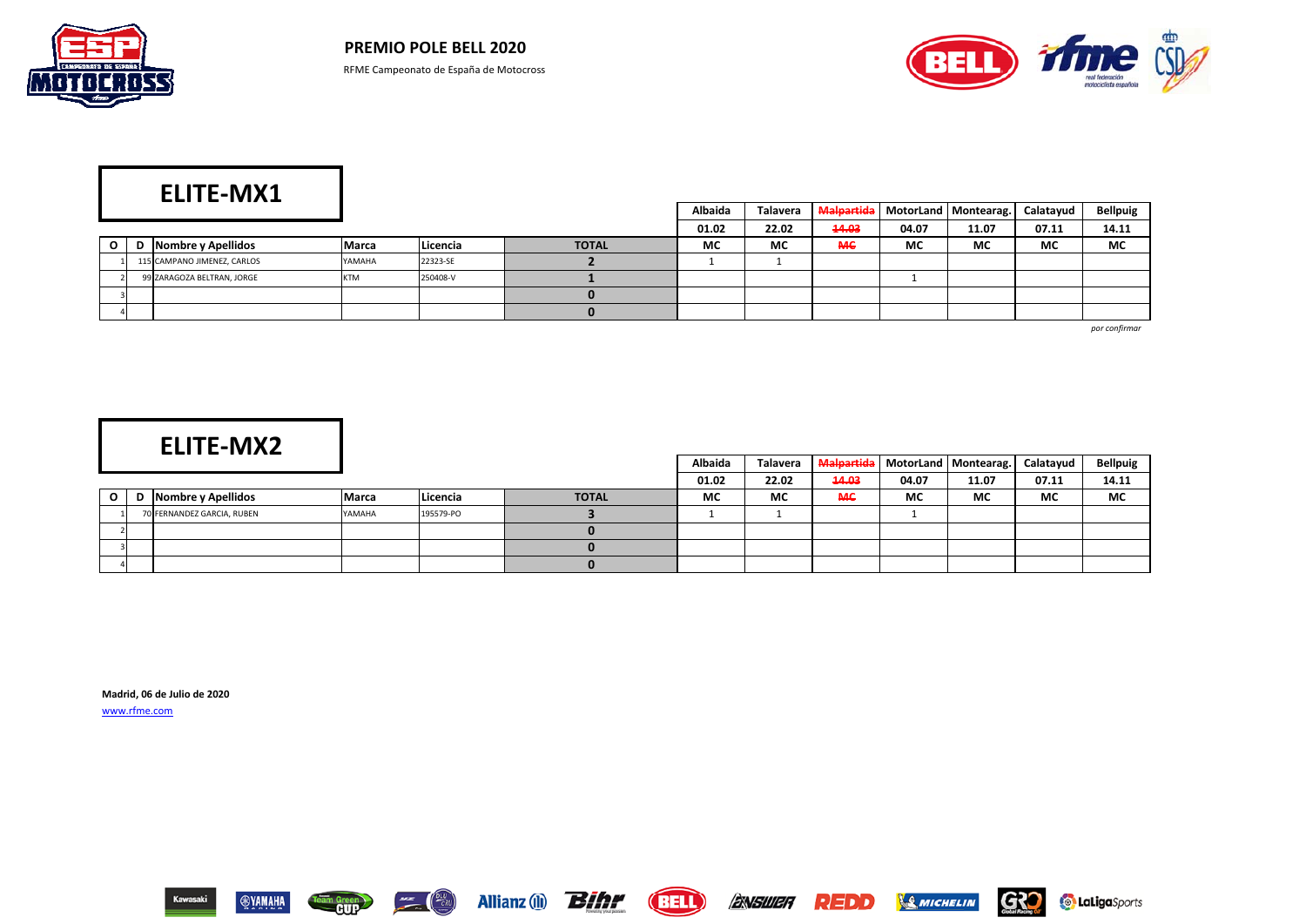



# **ELITE-MX1**

|              |   |                             |              |          |              | Albaida   | Talavera |           |       | Malpartida   MotorLand   Montearag. | Calatayud | <b>Bellpuig</b> |
|--------------|---|-----------------------------|--------------|----------|--------------|-----------|----------|-----------|-------|-------------------------------------|-----------|-----------------|
|              |   |                             |              |          |              | 01.02     | 22.02    | 14.03     | 04.07 | 11.07                               | 07.11     | 14.11           |
| $\mathbf{o}$ | D | Nombre y Apellidos          | <b>Marca</b> | Licencia | <b>TOTAL</b> | <b>MC</b> | МC       | <b>MC</b> | МC    | <b>MC</b>                           | МC        | МC              |
|              |   | 115 CAMPANO JIMENEZ, CARLOS | YAMAHA       | 22323-SE |              |           |          |           |       |                                     |           |                 |
|              |   | 99 ZARAGOZA BELTRAN, JORGE  | <b>KTM</b>   | 250408-V |              |           |          |           |       |                                     |           |                 |
|              |   |                             |              |          |              |           |          |           |       |                                     |           |                 |
|              |   |                             |              |          |              |           |          |           |       |                                     |           |                 |

*por confirmar*

# **ELITE-MX2**

|   |   | LLI I LTIVIAL              |        |           |              | Albaida | Talavera |       |           | Malpartida   MotorLand   Montearag. | Calatayud | <b>Bellpuig</b> |
|---|---|----------------------------|--------|-----------|--------------|---------|----------|-------|-----------|-------------------------------------|-----------|-----------------|
|   |   |                            |        |           |              | 01.02   | 22.02    | 14.03 | 04.07     | 11.07                               | 07.11     | 14.11           |
| O | D | Nombre y Apellidos         | Marca  | Licencia  | <b>TOTAL</b> | MC      | МC       | MС    | <b>MC</b> | МC                                  | МC        | MC              |
|   |   | 70 FERNANDEZ GARCIA, RUBEN | YAMAHA | 195579-PO |              |         |          |       |           |                                     |           |                 |
|   |   |                            |        |           |              |         |          |       |           |                                     |           |                 |
|   |   |                            |        |           |              |         |          |       |           |                                     |           |                 |
|   |   |                            |        |           |              |         |          |       |           |                                     |           |                 |

**Madrid, 06 de Julio de 2020**

www.rfme.com



Team Green





**SMICHELIN** 

**REDD** 

**G30** 

**Contabiga** Sports